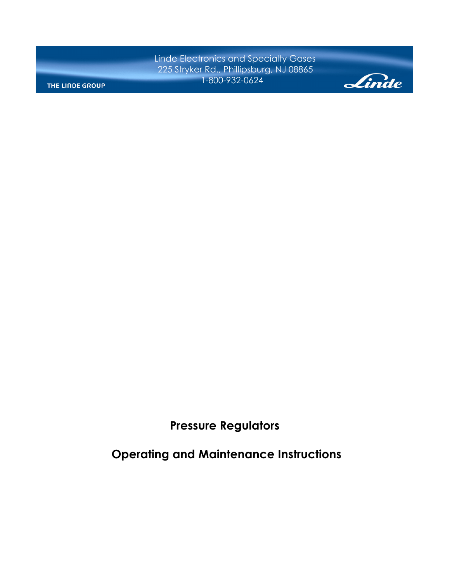Linde Electronics and Specialty Gases 225 Stryker Rd., Phillipsburg, NJ 08865 1-800-932-0624

THE LINDE GROUP



**Pressure Regulators** 

 **Operating and Maintenance Instructions**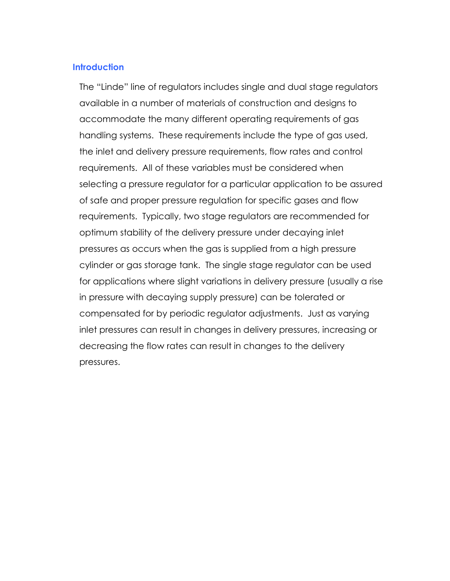# **Introduction**

The "Linde" line of regulators includes single and dual stage regulators available in a number of materials of construction and designs to accommodate the many different operating requirements of gas handling systems. These requirements include the type of gas used, the inlet and delivery pressure requirements, flow rates and control requirements. All of these variables must be considered when selecting a pressure regulator for a particular application to be assured of safe and proper pressure regulation for specific gases and flow requirements. Typically, two stage regulators are recommended for optimum stability of the delivery pressure under decaying inlet pressures as occurs when the gas is supplied from a high pressure cylinder or gas storage tank. The single stage regulator can be used for applications where slight variations in delivery pressure (usually a rise in pressure with decaying supply pressure) can be tolerated or compensated for by periodic regulator adjustments. Just as varying inlet pressures can result in changes in delivery pressures, increasing or decreasing the flow rates can result in changes to the delivery pressures.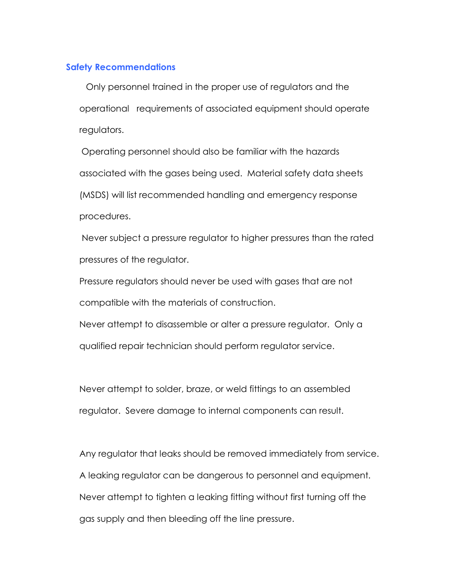# **Safety Recommendations**

 Only personnel trained in the proper use of regulators and the operational requirements of associated equipment should operate regulators.

Operating personnel should also be familiar with the hazards associated with the gases being used. Material safety data sheets (MSDS) will list recommended handling and emergency response procedures.

 Never subject a pressure regulator to higher pressures than the rated pressures of the regulator.

Pressure regulators should never be used with gases that are not compatible with the materials of construction.

Never attempt to disassemble or alter a pressure regulator. Only a qualified repair technician should perform regulator service.

Never attempt to solder, braze, or weld fittings to an assembled regulator. Severe damage to internal components can result.

Any regulator that leaks should be removed immediately from service. A leaking regulator can be dangerous to personnel and equipment. Never attempt to tighten a leaking fitting without first turning off the gas supply and then bleeding off the line pressure.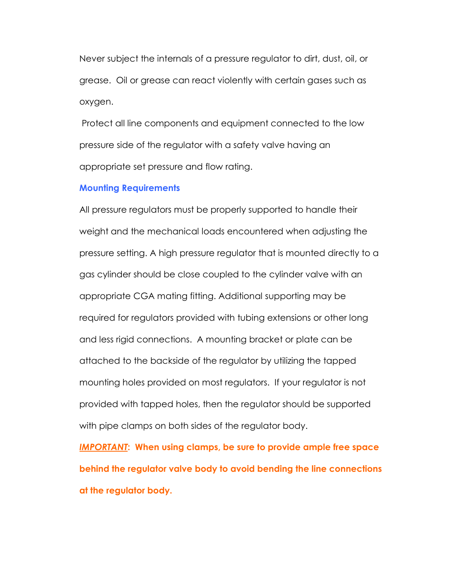Never subject the internals of a pressure regulator to dirt, dust, oil, or grease. Oil or grease can react violently with certain gases such as oxygen.

 Protect all line components and equipment connected to the low pressure side of the regulator with a safety valve having an appropriate set pressure and flow rating.

### **Mounting Requirements**

All pressure regulators must be properly supported to handle their weight and the mechanical loads encountered when adjusting the pressure setting. A high pressure regulator that is mounted directly to a gas cylinder should be close coupled to the cylinder valve with an appropriate CGA mating fitting. Additional supporting may be required for regulators provided with tubing extensions or other long and less rigid connections. A mounting bracket or plate can be attached to the backside of the regulator by utilizing the tapped mounting holes provided on most regulators. If your regulator is not provided with tapped holes, then the regulator should be supported with pipe clamps on both sides of the regulator body.

*IMPORTANT***: When using clamps, be sure to provide ample free space behind the regulator valve body to avoid bending the line connections at the regulator body.**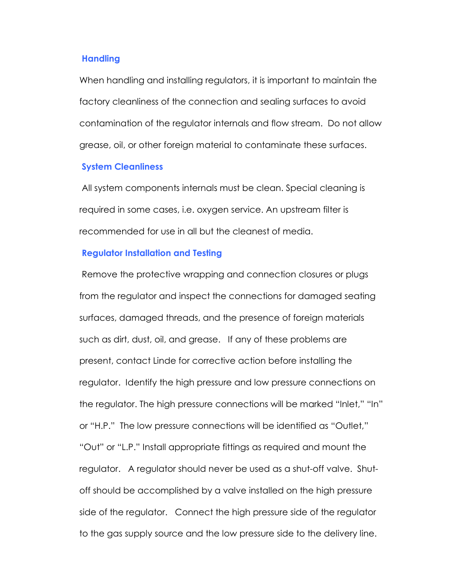### **Handling**

When handling and installing regulators, it is important to maintain the factory cleanliness of the connection and sealing surfaces to avoid contamination of the regulator internals and flow stream. Do not allow grease, oil, or other foreign material to contaminate these surfaces.

## **System Cleanliness**

 All system components internals must be clean. Special cleaning is required in some cases, i.e. oxygen service. An upstream filter is recommended for use in all but the cleanest of media.

## **Regulator Installation and Testing**

 Remove the protective wrapping and connection closures or plugs from the regulator and inspect the connections for damaged seating surfaces, damaged threads, and the presence of foreign materials such as dirt, dust, oil, and grease.If any of these problems are present, contact Linde for corrective action before installing the regulator.Identify the high pressure and low pressure connections on the regulator. The high pressure connections will be marked "Inlet," "In" or "H.P." The low pressure connections will be identified as "Outlet," "Out" or "L.P." Install appropriate fittings as required and mount the regulator. A regulator should never be used as a shut-off valve. Shutoff should be accomplished by a valve installed on the high pressure side of the regulator.Connect the high pressure side of the regulator to the gas supply source and the low pressure side to the delivery line.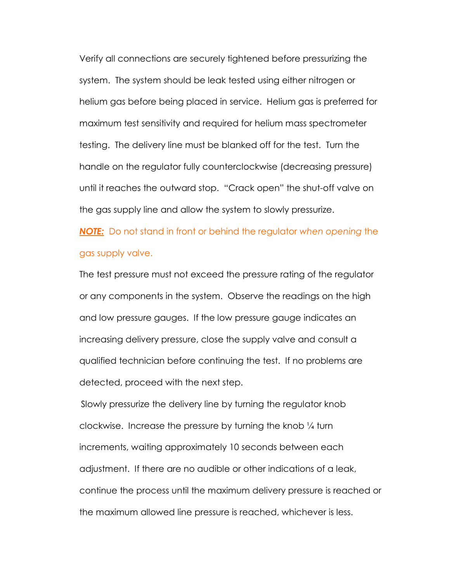Verify all connections are securely tightened before pressurizing the system.The system should be leak tested using either nitrogen or helium gas before being placed in service.Helium gas is preferred for maximum test sensitivity and required for helium mass spectrometer testing.The delivery line must be blanked off for the test.Turn the handle on the regulator fully counterclockwise (decreasing pressure) until it reaches the outward stop."Crack open" the shut-off valve on the gas supply line and allow the system to slowly pressurize.

*NOTE:* Do not stand in front or behind the regulator *when opening* the gas supply valve.

The test pressure must not exceed the pressure rating of the regulator or any components in the system. Observe the readings on the high and low pressure gauges. If the low pressure gauge indicates an increasing delivery pressure, close the supply valve and consult a qualified technician before continuing the test. If no problems are detected, proceed with the next step.

 Slowly pressurize the delivery line by turning the regulator knob clockwise. Increase the pressure by turning the knob ¼ turn increments, waiting approximately 10 seconds between each adjustment. If there are no audible or other indications of a leak, continue the process until the maximum delivery pressure is reached or the maximum allowed line pressure is reached, whichever is less.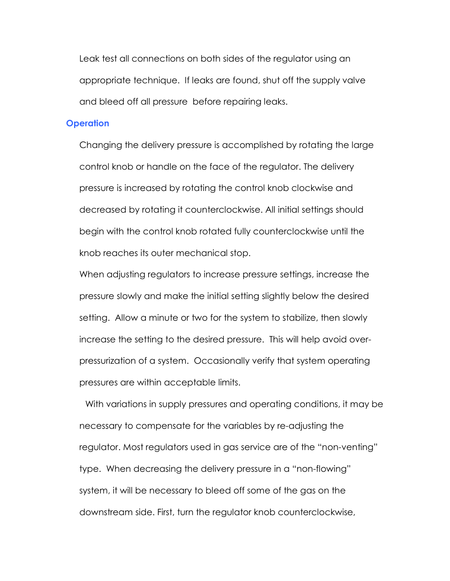Leak test all connections on both sides of the regulator using an appropriate technique. If leaks are found, shut off the supply valve and bleed off all pressure before repairing leaks.

### **Operation**

Changing the delivery pressure is accomplished by rotating the large control knob or handle on the face of the regulator. The delivery pressure is increased by rotating the control knob clockwise and decreased by rotating it counterclockwise. All initial settings should begin with the control knob rotated fully counterclockwise until the knob reaches its outer mechanical stop.

When adjusting regulators to increase pressure settings, increase the pressure slowly and make the initial setting slightly below the desired setting. Allow a minute or two for the system to stabilize, then slowly increase the setting to the desired pressure. This will help avoid overpressurization of a system. Occasionally verify that system operating pressures are within acceptable limits.

 With variations in supply pressures and operating conditions, it may be necessary to compensate for the variables by re-adjusting the regulator. Most regulators used in gas service are of the "non-venting" type. When decreasing the delivery pressure in a "non-flowing" system, it will be necessary to bleed off some of the gas on the downstream side. First, turn the regulator knob counterclockwise,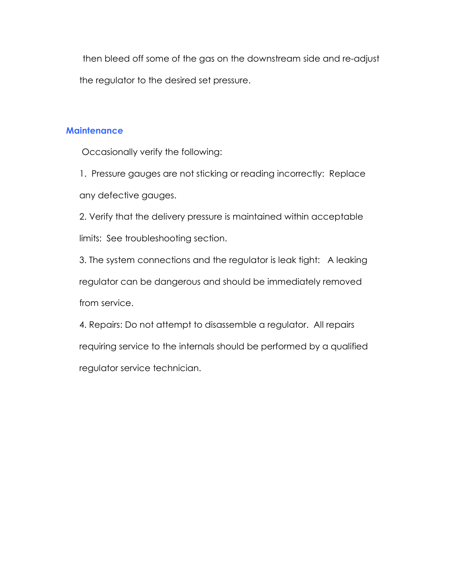then bleed off some of the gas on the downstream side and re-adjust the regulator to the desired set pressure.

# **Maintenance**

Occasionally verify the following:

1. Pressure gauges are not sticking or reading incorrectly: Replace any defective gauges.

2. Verify that the delivery pressure is maintained within acceptable limits: See troubleshooting section.

3. The system connections and the regulator is leak tight: A leaking regulator can be dangerous and should be immediately removed from service.

4. Repairs: Do not attempt to disassemble a regulator. All repairs requiring service to the internals should be performed by a qualified regulator service technician.